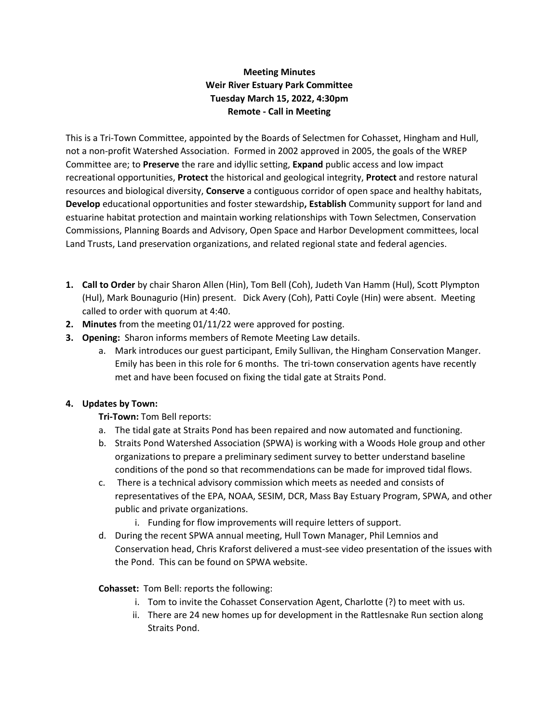## **Meeting Minutes Weir River Estuary Park Committee Tuesday March 15, 2022, 4:30pm Remote - Call in Meeting**

This is a Tri-Town Committee, appointed by the Boards of Selectmen for Cohasset, Hingham and Hull, not a non-profit Watershed Association. Formed in 2002 approved in 2005, the goals of the WREP Committee are; to **Preserve** the rare and idyllic setting, **Expand** public access and low impact recreational opportunities, **Protect** the historical and geological integrity, **Protect** and restore natural resources and biological diversity, **Conserve** a contiguous corridor of open space and healthy habitats, **Develop** educational opportunities and foster stewardship**, Establish** Community support for land and estuarine habitat protection and maintain working relationships with Town Selectmen, Conservation Commissions, Planning Boards and Advisory, Open Space and Harbor Development committees, local Land Trusts, Land preservation organizations, and related regional state and federal agencies.

- **1. Call to Order** by chair Sharon Allen (Hin), Tom Bell (Coh), Judeth Van Hamm (Hul), Scott Plympton (Hul), Mark Bounagurio (Hin) present. Dick Avery (Coh), Patti Coyle (Hin) were absent. Meeting called to order with quorum at 4:40.
- **2. Minutes** from the meeting 01/11/22 were approved for posting.
- **3. Opening:** Sharon informs members of Remote Meeting Law details.
	- a. Mark introduces our guest participant, Emily Sullivan, the Hingham Conservation Manger. Emily has been in this role for 6 months. The tri-town conservation agents have recently met and have been focused on fixing the tidal gate at Straits Pond.

### **4. Updates by Town:**

**Tri-Town:** Tom Bell reports:

- a. The tidal gate at Straits Pond has been repaired and now automated and functioning.
- b. Straits Pond Watershed Association (SPWA) is working with a Woods Hole group and other organizations to prepare a preliminary sediment survey to better understand baseline conditions of the pond so that recommendations can be made for improved tidal flows.
- c. There is a technical advisory commission which meets as needed and consists of representatives of the EPA, NOAA, SESIM, DCR, Mass Bay Estuary Program, SPWA, and other public and private organizations.
	- i. Funding for flow improvements will require letters of support.
- d. During the recent SPWA annual meeting, Hull Town Manager, Phil Lemnios and Conservation head, Chris Kraforst delivered a must-see video presentation of the issues with the Pond. This can be found on SPWA website.

**Cohasset:** Tom Bell: reports the following:

- i. Tom to invite the Cohasset Conservation Agent, Charlotte (?) to meet with us.
- ii. There are 24 new homes up for development in the Rattlesnake Run section along Straits Pond.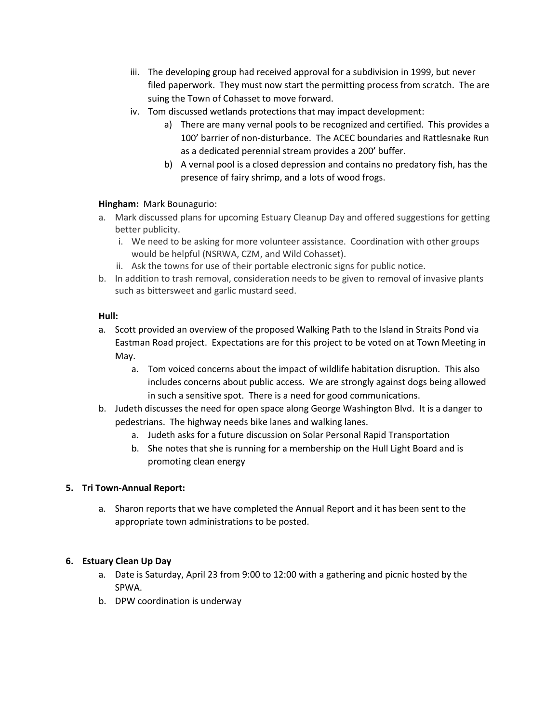- iii. The developing group had received approval for a subdivision in 1999, but never filed paperwork. They must now start the permitting process from scratch. The are suing the Town of Cohasset to move forward.
- iv. Tom discussed wetlands protections that may impact development:
	- a) There are many vernal pools to be recognized and certified. This provides a 100' barrier of non-disturbance. The ACEC boundaries and Rattlesnake Run as a dedicated perennial stream provides a 200' buffer.
	- b) A vernal pool is a closed depression and contains no predatory fish, has the presence of fairy shrimp, and a lots of wood frogs.

### **Hingham:** Mark Bounagurio:

- a. Mark discussed plans for upcoming Estuary Cleanup Day and offered suggestions for getting better publicity.
	- i. We need to be asking for more volunteer assistance. Coordination with other groups would be helpful (NSRWA, CZM, and Wild Cohasset).
	- ii. Ask the towns for use of their portable electronic signs for public notice.
- b. In addition to trash removal, consideration needs to be given to removal of invasive plants such as bittersweet and garlic mustard seed.

### **Hull:**

- a. Scott provided an overview of the proposed Walking Path to the Island in Straits Pond via Eastman Road project. Expectations are for this project to be voted on at Town Meeting in May.
	- a. Tom voiced concerns about the impact of wildlife habitation disruption. This also includes concerns about public access. We are strongly against dogs being allowed in such a sensitive spot. There is a need for good communications.
- b. Judeth discusses the need for open space along George Washington Blvd. It is a danger to pedestrians. The highway needs bike lanes and walking lanes.
	- a. Judeth asks for a future discussion on Solar Personal Rapid Transportation
	- b. She notes that she is running for a membership on the Hull Light Board and is promoting clean energy

### **5. Tri Town-Annual Report:**

a. Sharon reports that we have completed the Annual Report and it has been sent to the appropriate town administrations to be posted.

### **6. Estuary Clean Up Day**

- a. Date is Saturday, April 23 from 9:00 to 12:00 with a gathering and picnic hosted by the SPWA.
- b. DPW coordination is underway